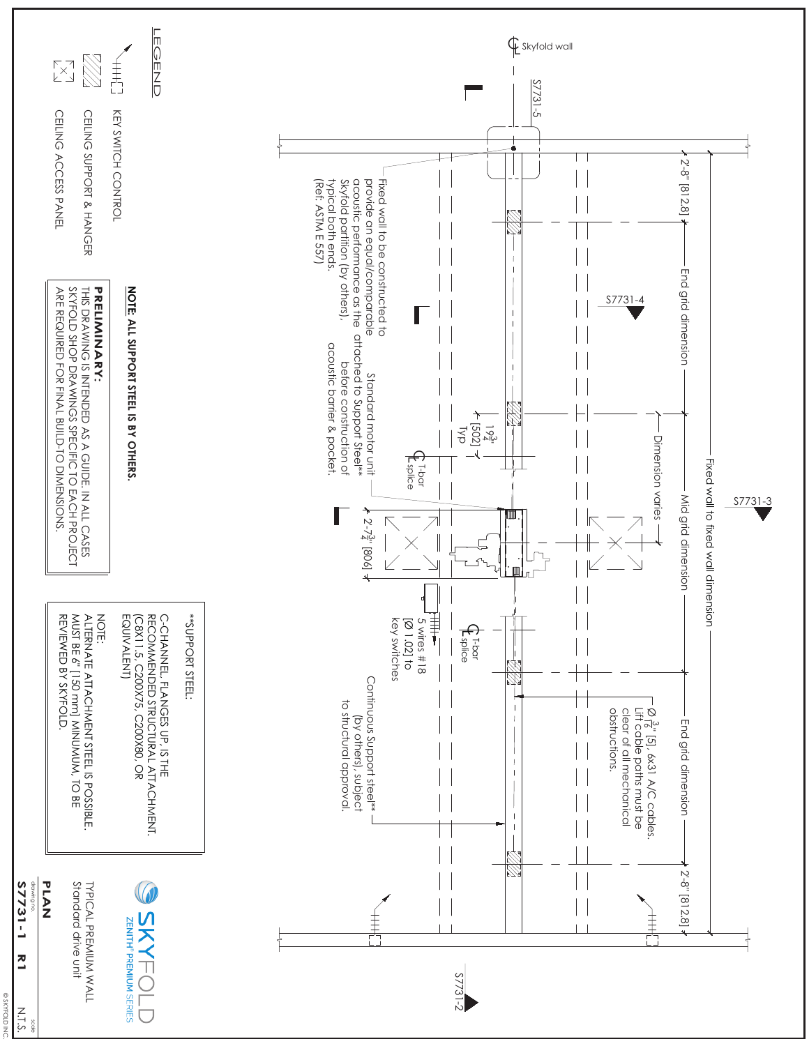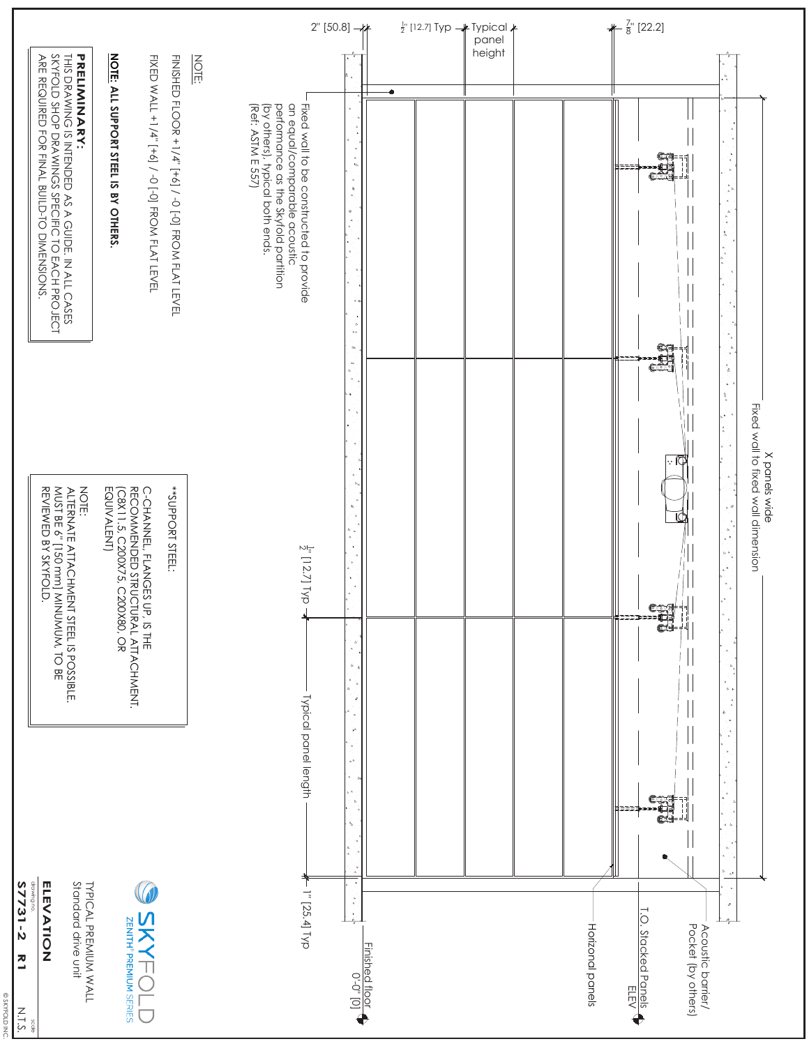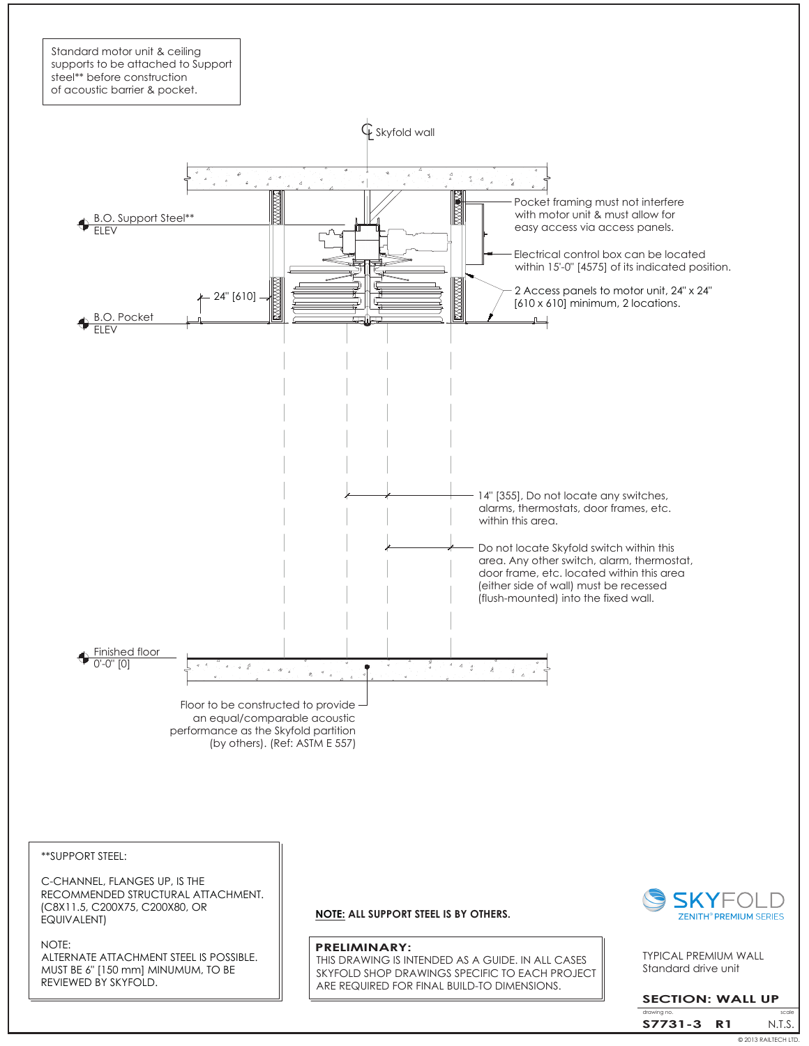

\*\*SUPPORT STEEL:

C-CHANNEL, FLANGES UP, IS THE RECOMMENDED STRUCTURAL ATTACHMENT. (C8X11.5, C200X75, C200X80, OR EQUIVALENT)

NOTE: ALTERNATE ATTACHMENT STEEL IS POSSIBLE. MUST BE 6" [150 mm] MINUMUM, TO BE REVIEWED BY SKYFOLD.

**NOTE: ALL SUPPORT STEEL IS BY OTHERS.**

#### **PRELIMINARY:**

THIS DRAWING IS INTENDED AS A GUIDE. IN ALL CASES SKYFOLD SHOP DRAWINGS SPECIFIC TO EACH PROJECT ARE REQUIRED FOR FINAL BUILD-TO DIMENSIONS.



Standard drive unit TYPICAL PREMIUM WALL

### **SECTION: WALL UP**

© 2013 RAILTECH LTD. drawing N.T.S. **S7731-3 R1**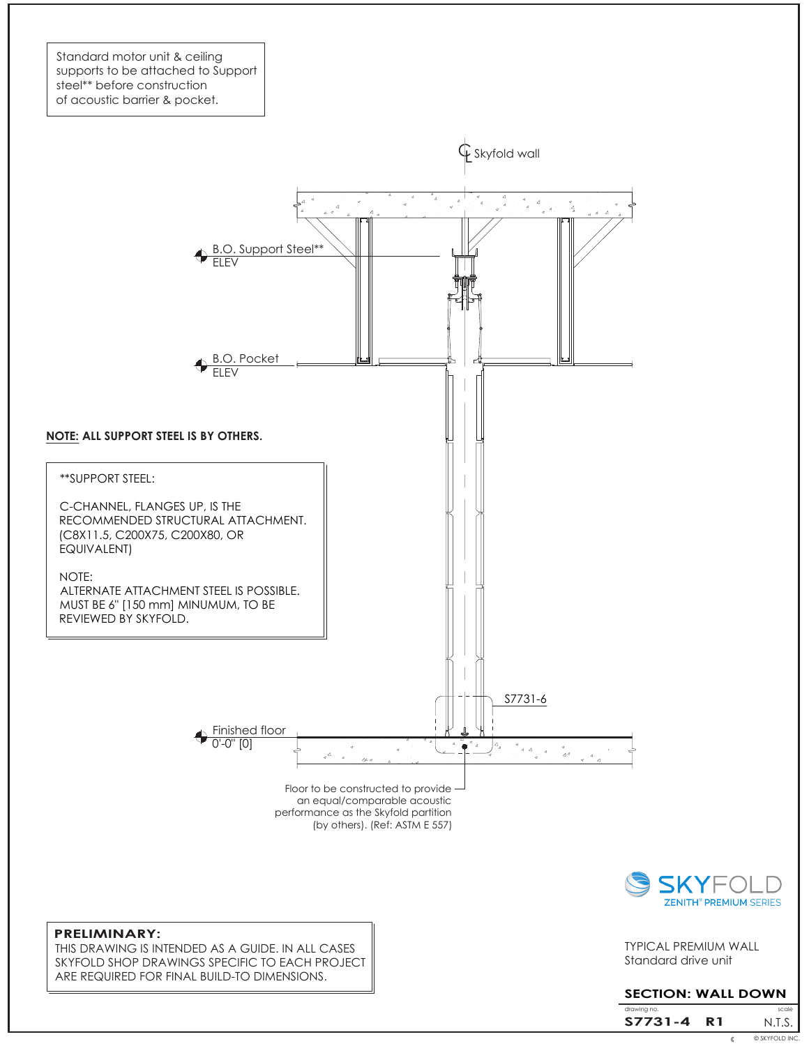Standard motor unit & ceiling supports to be attached to Support steel\*\* before construction of acoustic barrier & pocket.



### **PRELIMINARY:**

THIS DRAWING IS INTENDED AS A GUIDE. IN ALL CASES SKYFOLD SHOP DRAWINGS SPECIFIC TO EACH PROJECT ARE REQUIRED FOR FINAL BUILD-TO DIMENSIONS.

Standard drive unit

TYPICAL PREMIUM WALL

# **SECTION: WALL DOWN**

© 2013 RAILTECH LTD. © SKYFOLD INC.drawing no. **Scale** is a set of the set of the set of the set of the set of the set of the set of the set of the set of the set of the set of the set of the set of the set of the set of the set of the set of the set of the N.T.S. **S7731-4 R1**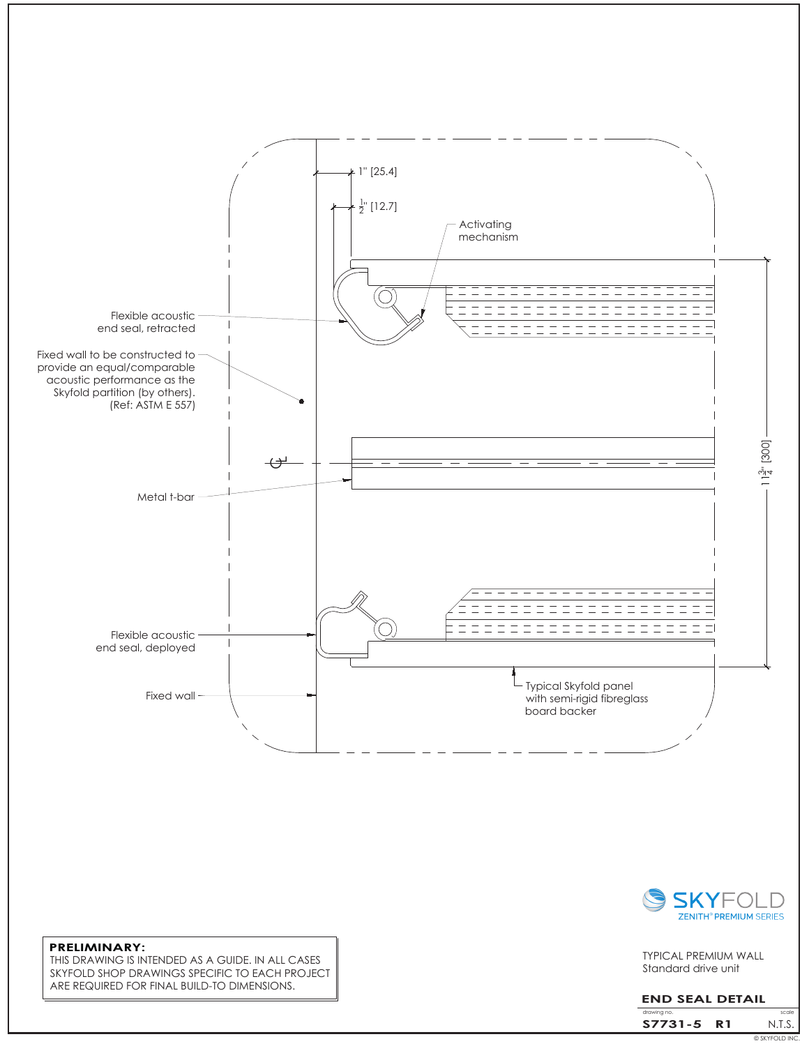



Standard drive unit TYPICAL PREMIUM WALL

## **END SEAL DETAIL**

© SKYFOLD INC. drawing i N.T.S. **S7731-5 R1**

#### **PRELIMINARY:** THIS DRAWING IS INTENDED AS A GUIDE. IN ALL CASES SKYFOLD SHOP DRAWINGS SPECIFIC TO EACH PROJECT ARE REQUIRED FOR FINAL BUILD-TO DIMENSIONS.